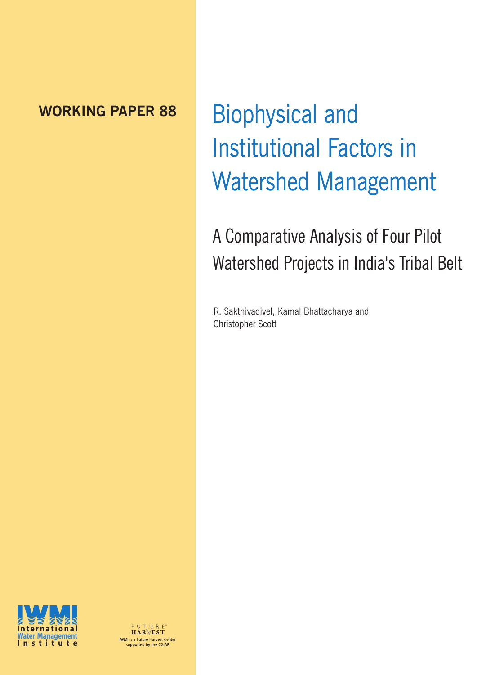### **WORKING PAPER 88**

# Biophysical and Institutional Factors in Watershed Management

# A Comparative Analysis of Four Pilot Watershed Projects in India's Tribal Belt

R. Sakthivadivel, Kamal Bhattacharya and Christopher Scott



FUTURE<sup>\*</sup><br>HAR\/EST **INTERNATION**<br>
WMI is a Future Harvest Center<br>
supported by the CGIAR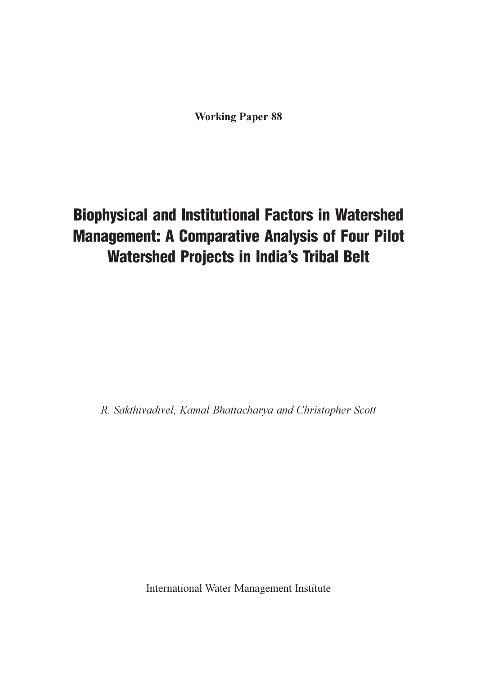**Working Paper 88** 

## Biophysical and Institutional Factors in Watershed Management: A Comparative Analysis of Four Pilot Watershed Projects in India's Tribal Belt

R. Sakthivadivel, Kamal Bhattacharva and Christopher Scott

International Water Management Institute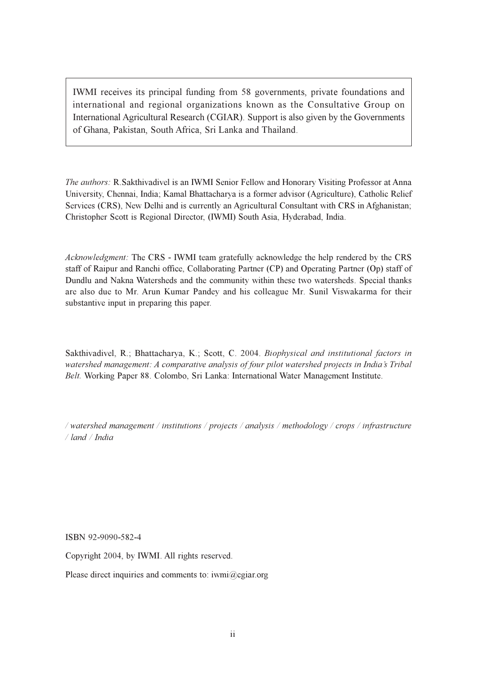IWMI receives its principal funding from 58 governments, private foundations and international and regional organizations known as the Consultative Group on International Agricultural Research (CGIAR). Support is also given by the Governments of Ghana, Pakistan, South Africa, Sri Lanka and Thailand.

The authors: R.Sakthivadivel is an IWMI Senior Fellow and Honorary Visiting Professor at Anna University, Chennai, India; Kamal Bhattacharya is a former advisor (Agriculture), Catholic Relief Services (CRS), New Delhi and is currently an Agricultural Consultant with CRS in Afghanistan; Christopher Scott is Regional Director, (IWMI) South Asia, Hyderabad, India.

Acknowledgment: The CRS - IWMI team gratefully acknowledge the help rendered by the CRS staff of Raipur and Ranchi office, Collaborating Partner (CP) and Operating Partner (Op) staff of Dundlu and Nakna Watersheds and the community within these two watersheds. Special thanks are also due to Mr. Arun Kumar Pandey and his colleague Mr. Sunil Viswakarma for their substantive input in preparing this paper.

Sakthivadivel, R.; Bhattacharya, K.; Scott, C. 2004. Biophysical and institutional factors in watershed management: A comparative analysis of four pilot watershed projects in India's Tribal Belt. Working Paper 88. Colombo, Sri Lanka: International Water Management Institute.

/watershed management / institutions / projects / analysis / methodology / crops / infrastructure  $/$ land  $/$ India

ISBN 92-9090-582-4

Copyright 2004, by IWMI. All rights reserved.

Please direct inquiries and comments to:  $i$ wmi $@$ cgiar.org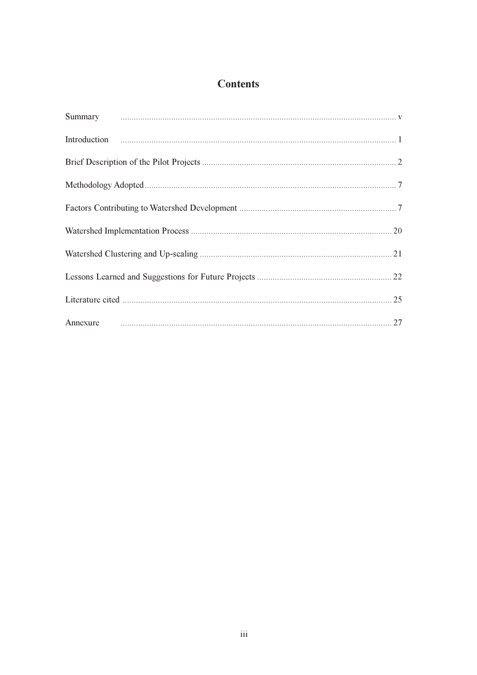#### **Contents**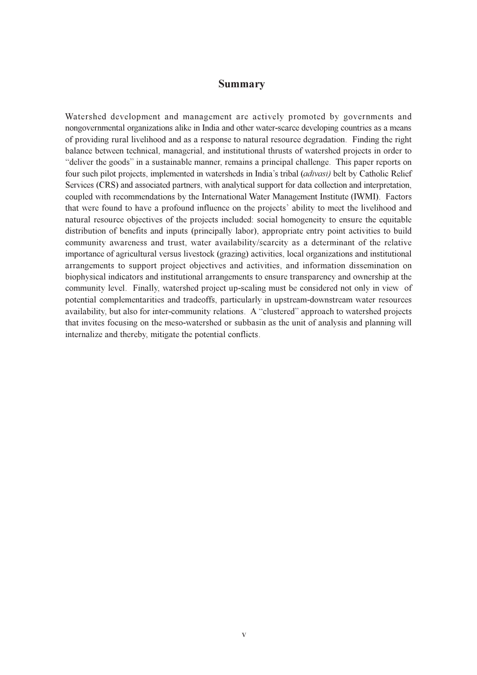#### **Summary**

Watershed development and management are actively promoted by governments and nongovernmental organizations alike in India and other water-scarce developing countries as a means of providing rural livelihood and as a response to natural resource degradation. Finding the right balance between technical, managerial, and institutional thrusts of watershed projects in order to "deliver the goods" in a sustainable manner, remains a principal challenge. This paper reports on four such pilot projects, implemented in watersheds in India's tribal (adivasi) belt by Catholic Relief Services (CRS) and associated partners, with analytical support for data collection and interpretation, coupled with recommendations by the International Water Management Institute (IWMI). Factors that were found to have a profound influence on the projects' ability to meet the livelihood and natural resource objectives of the projects included: social homogeneity to ensure the equitable distribution of benefits and inputs (principally labor), appropriate entry point activities to build community awareness and trust, water availability/scarcity as a determinant of the relative importance of agricultural versus livestock (grazing) activities. local organizations and institutional arrangements to support project objectives and activities, and information dissemination on biophysical indicators and institutional arrangements to ensure transparency and ownership at the community level. Finally, watershed project up-scaling must be considered not only in view of potential complementarities and tradeoffs, particularly in upstream-downstream water resources availability, but also for inter-community relations. A "clustered" approach to watershed projects that invites focusing on the meso-watershed or subbasin as the unit of analysis and planning will internalize and thereby, mitigate the potential conflicts.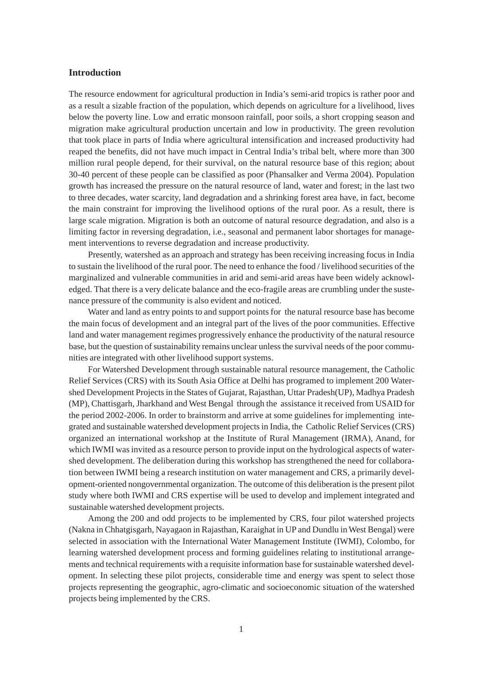#### **Introduction**

The resource endowment for agricultural production in India's semi-arid tropics is rather poor and as a result a sizable fraction of the population, which depends on agriculture for a livelihood, lives below the poverty line. Low and erratic monsoon rainfall, poor soils, a short cropping season and migration make agricultural production uncertain and low in productivity. The green revolution that took place in parts of India where agricultural intensification and increased productivity had reaped the benefits, did not have much impact in Central India's tribal belt, where more than 300 million rural people depend, for their survival, on the natural resource base of this region; about 30-40 percent of these people can be classified as poor (Phansalker and Verma 2004). Population growth has increased the pressure on the natural resource of land, water and forest; in the last two to three decades, water scarcity, land degradation and a shrinking forest area have, in fact, become the main constraint for improving the livelihood options of the rural poor. As a result, there is large scale migration. Migration is both an outcome of natural resource degradation, and also is a limiting factor in reversing degradation, i.e., seasonal and permanent labor shortages for management interventions to reverse degradation and increase productivity.

Presently, watershed as an approach and strategy has been receiving increasing focus in India to sustain the livelihood of the rural poor. The need to enhance the food / livelihood securities of the marginalized and vulnerable communities in arid and semi-arid areas have been widely acknowledged. That there is a very delicate balance and the eco-fragile areas are crumbling under the sustenance pressure of the community is also evident and noticed.

Water and land as entry points to and support points for the natural resource base has become the main focus of development and an integral part of the lives of the poor communities. Effective land and water management regimes progressively enhance the productivity of the natural resource base, but the question of sustainability remains unclear unless the survival needs of the poor communities are integrated with other livelihood support systems.

For Watershed Development through sustainable natural resource management, the Catholic Relief Services (CRS) with its South Asia Office at Delhi has programed to implement 200 Watershed Development Projects in the States of Gujarat, Rajasthan, Uttar Pradesh(UP), Madhya Pradesh (MP), Chattisgarh, Jharkhand and West Bengal through the assistance it received from USAID for the period 2002-2006. In order to brainstorm and arrive at some guidelines for implementing integrated and sustainable watershed development projects in India, the Catholic Relief Services (CRS) organized an international workshop at the Institute of Rural Management (IRMA), Anand, for which IWMI was invited as a resource person to provide input on the hydrological aspects of watershed development. The deliberation during this workshop has strengthened the need for collaboration between IWMI being a research institution on water management and CRS, a primarily development-oriented nongovernmental organization. The outcome of this deliberation is the present pilot study where both IWMI and CRS expertise will be used to develop and implement integrated and sustainable watershed development projects.

Among the 200 and odd projects to be implemented by CRS, four pilot watershed projects (Nakna in Chhatgisgarh, Nayagaon in Rajasthan, Karaighat in UP and Dundlu in West Bengal) were selected in association with the International Water Management Institute (IWMI), Colombo, for learning watershed development process and forming guidelines relating to institutional arrangements and technical requirements with a requisite information base for sustainable watershed development. In selecting these pilot projects, considerable time and energy was spent to select those projects representing the geographic, agro-climatic and socioeconomic situation of the watershed projects being implemented by the CRS.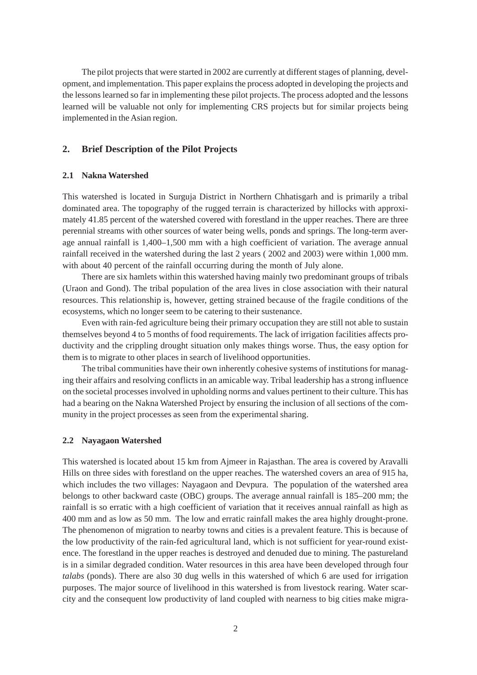The pilot projects that were started in 2002 are currently at different stages of planning, development, and implementation. This paper explains the process adopted in developing the projects and the lessons learned so far in implementing these pilot projects. The process adopted and the lessons learned will be valuable not only for implementing CRS projects but for similar projects being implemented in the Asian region.

#### **2. Brief Description of the Pilot Projects**

#### **2.1 Nakna Watershed**

This watershed is located in Surguja District in Northern Chhatisgarh and is primarily a tribal dominated area. The topography of the rugged terrain is characterized by hillocks with approximately 41.85 percent of the watershed covered with forestland in the upper reaches. There are three perennial streams with other sources of water being wells, ponds and springs. The long-term average annual rainfall is 1,400–1,500 mm with a high coefficient of variation. The average annual rainfall received in the watershed during the last 2 years ( 2002 and 2003) were within 1,000 mm. with about 40 percent of the rainfall occurring during the month of July alone.

There are six hamlets within this watershed having mainly two predominant groups of tribals (Uraon and Gond). The tribal population of the area lives in close association with their natural resources. This relationship is, however, getting strained because of the fragile conditions of the ecosystems, which no longer seem to be catering to their sustenance.

Even with rain-fed agriculture being their primary occupation they are still not able to sustain themselves beyond 4 to 5 months of food requirements. The lack of irrigation facilities affects productivity and the crippling drought situation only makes things worse. Thus, the easy option for them is to migrate to other places in search of livelihood opportunities.

The tribal communities have their own inherently cohesive systems of institutions for managing their affairs and resolving conflicts in an amicable way. Tribal leadership has a strong influence on the societal processes involved in upholding norms and values pertinent to their culture. This has had a bearing on the Nakna Watershed Project by ensuring the inclusion of all sections of the community in the project processes as seen from the experimental sharing.

#### **2.2 Nayagaon Watershed**

This watershed is located about 15 km from Ajmeer in Rajasthan. The area is covered by Aravalli Hills on three sides with forestland on the upper reaches. The watershed covers an area of 915 ha, which includes the two villages: Nayagaon and Devpura. The population of the watershed area belongs to other backward caste (OBC) groups. The average annual rainfall is 185–200 mm; the rainfall is so erratic with a high coefficient of variation that it receives annual rainfall as high as 400 mm and as low as 50 mm. The low and erratic rainfall makes the area highly drought-prone. The phenomenon of migration to nearby towns and cities is a prevalent feature. This is because of the low productivity of the rain-fed agricultural land, which is not sufficient for year-round existence. The forestland in the upper reaches is destroyed and denuded due to mining. The pastureland is in a similar degraded condition. Water resources in this area have been developed through four *talabs* (ponds). There are also 30 dug wells in this watershed of which 6 are used for irrigation purposes. The major source of livelihood in this watershed is from livestock rearing. Water scarcity and the consequent low productivity of land coupled with nearness to big cities make migra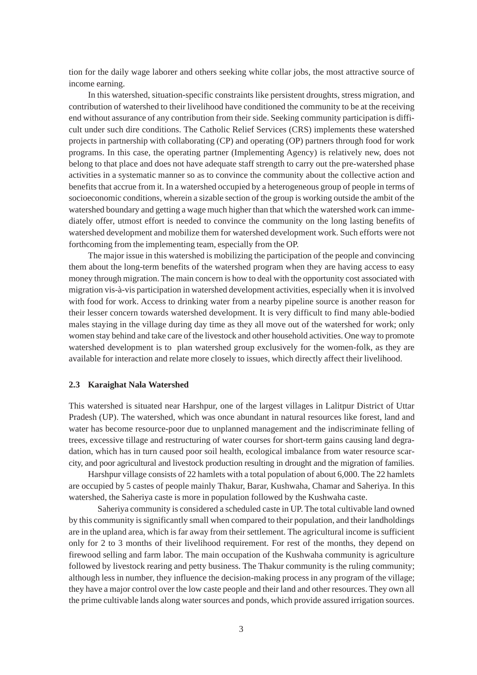tion for the daily wage laborer and others seeking white collar jobs, the most attractive source of income earning.

In this watershed, situation-specific constraints like persistent droughts, stress migration, and contribution of watershed to their livelihood have conditioned the community to be at the receiving end without assurance of any contribution from their side. Seeking community participation is difficult under such dire conditions. The Catholic Relief Services (CRS) implements these watershed projects in partnership with collaborating (CP) and operating (OP) partners through food for work programs. In this case, the operating partner (Implementing Agency) is relatively new, does not belong to that place and does not have adequate staff strength to carry out the pre-watershed phase activities in a systematic manner so as to convince the community about the collective action and benefits that accrue from it. In a watershed occupied by a heterogeneous group of people in terms of socioeconomic conditions, wherein a sizable section of the group is working outside the ambit of the watershed boundary and getting a wage much higher than that which the watershed work can immediately offer, utmost effort is needed to convince the community on the long lasting benefits of watershed development and mobilize them for watershed development work. Such efforts were not forthcoming from the implementing team, especially from the OP.

The major issue in this watershed is mobilizing the participation of the people and convincing them about the long-term benefits of the watershed program when they are having access to easy money through migration. The main concern is how to deal with the opportunity cost associated with migration vis-à-vis participation in watershed development activities, especially when it is involved with food for work. Access to drinking water from a nearby pipeline source is another reason for their lesser concern towards watershed development. It is very difficult to find many able-bodied males staying in the village during day time as they all move out of the watershed for work; only women stay behind and take care of the livestock and other household activities. One way to promote watershed development is to plan watershed group exclusively for the women-folk, as they are available for interaction and relate more closely to issues, which directly affect their livelihood.

#### **2.3 Karaighat Nala Watershed**

This watershed is situated near Harshpur, one of the largest villages in Lalitpur District of Uttar Pradesh (UP). The watershed, which was once abundant in natural resources like forest, land and water has become resource-poor due to unplanned management and the indiscriminate felling of trees, excessive tillage and restructuring of water courses for short-term gains causing land degradation, which has in turn caused poor soil health, ecological imbalance from water resource scarcity, and poor agricultural and livestock production resulting in drought and the migration of families.

Harshpur village consists of 22 hamlets with a total population of about 6,000. The 22 hamlets are occupied by 5 castes of people mainly Thakur, Barar, Kushwaha, Chamar and Saheriya. In this watershed, the Saheriya caste is more in population followed by the Kushwaha caste.

Saheriya community is considered a scheduled caste in UP. The total cultivable land owned by this community is significantly small when compared to their population, and their landholdings are in the upland area, which is far away from their settlement. The agricultural income is sufficient only for 2 to 3 months of their livelihood requirement. For rest of the months, they depend on firewood selling and farm labor. The main occupation of the Kushwaha community is agriculture followed by livestock rearing and petty business. The Thakur community is the ruling community; although less in number, they influence the decision-making process in any program of the village; they have a major control over the low caste people and their land and other resources. They own all the prime cultivable lands along water sources and ponds, which provide assured irrigation sources.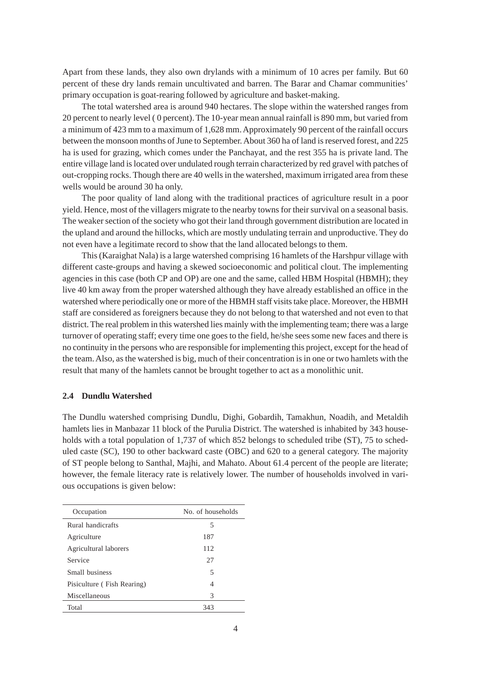Apart from these lands, they also own drylands with a minimum of 10 acres per family. But 60 percent of these dry lands remain uncultivated and barren. The Barar and Chamar communities' primary occupation is goat-rearing followed by agriculture and basket-making.

The total watershed area is around 940 hectares. The slope within the watershed ranges from 20 percent to nearly level ( 0 percent). The 10-year mean annual rainfall is 890 mm, but varied from a minimum of 423 mm to a maximum of 1,628 mm. Approximately 90 percent of the rainfall occurs between the monsoon months of June to September. About 360 ha of land is reserved forest, and 225 ha is used for grazing, which comes under the Panchayat, and the rest 355 ha is private land. The entire village land is located over undulated rough terrain characterized by red gravel with patches of out-cropping rocks. Though there are 40 wells in the watershed, maximum irrigated area from these wells would be around 30 ha only.

The poor quality of land along with the traditional practices of agriculture result in a poor yield. Hence, most of the villagers migrate to the nearby towns for their survival on a seasonal basis. The weaker section of the society who got their land through government distribution are located in the upland and around the hillocks, which are mostly undulating terrain and unproductive. They do not even have a legitimate record to show that the land allocated belongs to them.

This (Karaighat Nala) is a large watershed comprising 16 hamlets of the Harshpur village with different caste-groups and having a skewed socioeconomic and political clout. The implementing agencies in this case (both CP and OP) are one and the same, called HBM Hospital (HBMH); they live 40 km away from the proper watershed although they have already established an office in the watershed where periodically one or more of the HBMH staff visits take place. Moreover, the HBMH staff are considered as foreigners because they do not belong to that watershed and not even to that district. The real problem in this watershed lies mainly with the implementing team; there was a large turnover of operating staff; every time one goes to the field, he/she sees some new faces and there is no continuity in the persons who are responsible for implementing this project, except for the head of the team. Also, as the watershed is big, much of their concentration is in one or two hamlets with the result that many of the hamlets cannot be brought together to act as a monolithic unit.

#### **2.4 Dundlu Watershed**

The Dundlu watershed comprising Dundlu, Dighi, Gobardih, Tamakhun, Noadih, and Metaldih hamlets lies in Manbazar 11 block of the Purulia District. The watershed is inhabited by 343 households with a total population of 1,737 of which 852 belongs to scheduled tribe (ST), 75 to scheduled caste (SC), 190 to other backward caste (OBC) and 620 to a general category. The majority of ST people belong to Santhal, Majhi, and Mahato. About 61.4 percent of the people are literate; however, the female literacy rate is relatively lower. The number of households involved in various occupations is given below:

| Occupation                 | No. of households |
|----------------------------|-------------------|
| Rural handicrafts          | 5                 |
| Agriculture                | 187               |
| Agricultural laborers      | 112               |
| Service                    | 27                |
| Small business             | 5                 |
| Pisiculture (Fish Rearing) | 4                 |
| Miscellaneous              | 3                 |
| Total                      | 343               |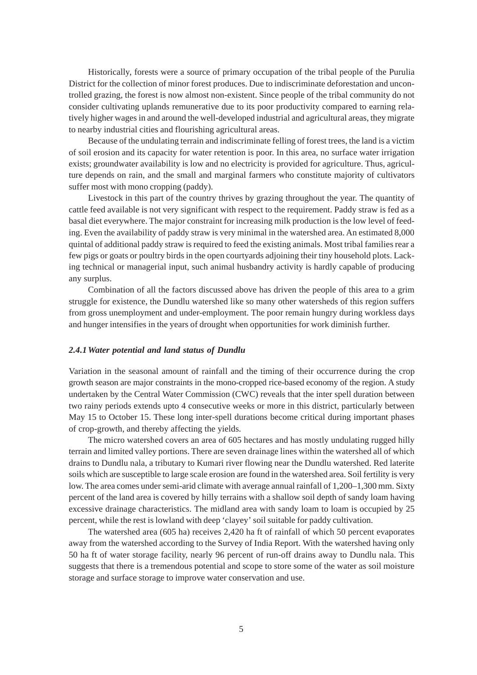Historically, forests were a source of primary occupation of the tribal people of the Purulia District for the collection of minor forest produces. Due to indiscriminate deforestation and uncontrolled grazing, the forest is now almost non-existent. Since people of the tribal community do not consider cultivating uplands remunerative due to its poor productivity compared to earning relatively higher wages in and around the well-developed industrial and agricultural areas, they migrate to nearby industrial cities and flourishing agricultural areas.

Because of the undulating terrain and indiscriminate felling of forest trees, the land is a victim of soil erosion and its capacity for water retention is poor. In this area, no surface water irrigation exists; groundwater availability is low and no electricity is provided for agriculture. Thus, agriculture depends on rain, and the small and marginal farmers who constitute majority of cultivators suffer most with mono cropping (paddy).

Livestock in this part of the country thrives by grazing throughout the year. The quantity of cattle feed available is not very significant with respect to the requirement. Paddy straw is fed as a basal diet everywhere. The major constraint for increasing milk production is the low level of feeding. Even the availability of paddy straw is very minimal in the watershed area. An estimated 8,000 quintal of additional paddy straw is required to feed the existing animals. Most tribal families rear a few pigs or goats or poultry birds in the open courtyards adjoining their tiny household plots. Lacking technical or managerial input, such animal husbandry activity is hardly capable of producing any surplus.

Combination of all the factors discussed above has driven the people of this area to a grim struggle for existence, the Dundlu watershed like so many other watersheds of this region suffers from gross unemployment and under-employment. The poor remain hungry during workless days and hunger intensifies in the years of drought when opportunities for work diminish further.

#### *2.4.1Water potential and land status of Dundlu*

Variation in the seasonal amount of rainfall and the timing of their occurrence during the crop growth season are major constraints in the mono-cropped rice-based economy of the region. A study undertaken by the Central Water Commission (CWC) reveals that the inter spell duration between two rainy periods extends upto 4 consecutive weeks or more in this district, particularly between May 15 to October 15. These long inter-spell durations become critical during important phases of crop-growth, and thereby affecting the yields.

The micro watershed covers an area of 605 hectares and has mostly undulating rugged hilly terrain and limited valley portions. There are seven drainage lines within the watershed all of which drains to Dundlu nala, a tributary to Kumari river flowing near the Dundlu watershed. Red laterite soils which are susceptible to large scale erosion are found in the watershed area. Soil fertility is very low. The area comes under semi-arid climate with average annual rainfall of 1,200–1,300 mm. Sixty percent of the land area is covered by hilly terrains with a shallow soil depth of sandy loam having excessive drainage characteristics. The midland area with sandy loam to loam is occupied by 25 percent, while the rest is lowland with deep 'clayey' soil suitable for paddy cultivation.

The watershed area (605 ha) receives 2,420 ha ft of rainfall of which 50 percent evaporates away from the watershed according to the Survey of India Report. With the watershed having only 50 ha ft of water storage facility, nearly 96 percent of run-off drains away to Dundlu nala. This suggests that there is a tremendous potential and scope to store some of the water as soil moisture storage and surface storage to improve water conservation and use.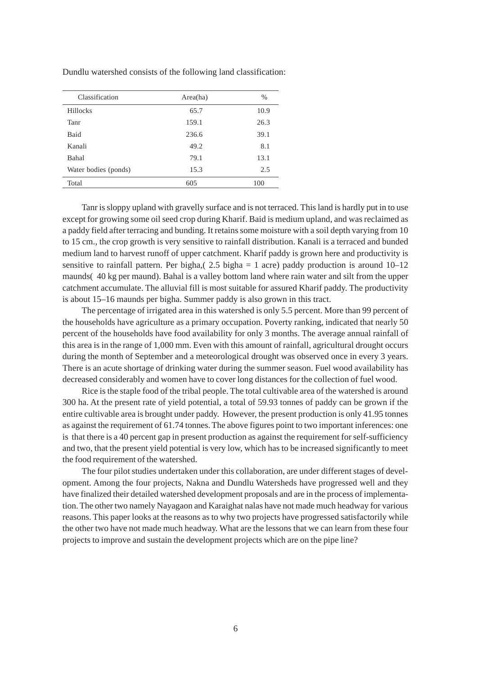| Classification       | Area(ha) | $\%$ |
|----------------------|----------|------|
| <b>Hillocks</b>      | 65.7     | 10.9 |
| Tanr                 | 159.1    | 26.3 |
| <b>Baid</b>          | 236.6    | 39.1 |
| Kanali               | 49.2     | 8.1  |
| Bahal                | 79.1     | 13.1 |
| Water bodies (ponds) | 15.3     | 2.5  |
| Total                | 605      | 100  |

Dundlu watershed consists of the following land classification:

Tanr is sloppy upland with gravelly surface and is not terraced. This land is hardly put in to use except for growing some oil seed crop during Kharif. Baid is medium upland, and was reclaimed as a paddy field after terracing and bunding. It retains some moisture with a soil depth varying from 10 to 15 cm., the crop growth is very sensitive to rainfall distribution. Kanali is a terraced and bunded medium land to harvest runoff of upper catchment. Kharif paddy is grown here and productivity is sensitive to rainfall pattern. Per bigha,( 2.5 bigha = 1 acre) paddy production is around  $10-12$ maunds( 40 kg per maund). Bahal is a valley bottom land where rain water and silt from the upper catchment accumulate. The alluvial fill is most suitable for assured Kharif paddy. The productivity is about 15–16 maunds per bigha. Summer paddy is also grown in this tract.

The percentage of irrigated area in this watershed is only 5.5 percent. More than 99 percent of the households have agriculture as a primary occupation. Poverty ranking, indicated that nearly 50 percent of the households have food availability for only 3 months. The average annual rainfall of this area is in the range of 1,000 mm. Even with this amount of rainfall, agricultural drought occurs during the month of September and a meteorological drought was observed once in every 3 years. There is an acute shortage of drinking water during the summer season. Fuel wood availability has decreased considerably and women have to cover long distances for the collection of fuel wood.

Rice is the staple food of the tribal people. The total cultivable area of the watershed is around 300 ha. At the present rate of yield potential, a total of 59.93 tonnes of paddy can be grown if the entire cultivable area is brought under paddy. However, the present production is only 41.95 tonnes as against the requirement of 61.74 tonnes. The above figures point to two important inferences: one is that there is a 40 percent gap in present production as against the requirement for self-sufficiency and two, that the present yield potential is very low, which has to be increased significantly to meet the food requirement of the watershed.

The four pilot studies undertaken under this collaboration, are under different stages of development. Among the four projects, Nakna and Dundlu Watersheds have progressed well and they have finalized their detailed watershed development proposals and are in the process of implementation. The other two namely Nayagaon and Karaighat nalas have not made much headway for various reasons. This paper looks at the reasons as to why two projects have progressed satisfactorily while the other two have not made much headway. What are the lessons that we can learn from these four projects to improve and sustain the development projects which are on the pipe line?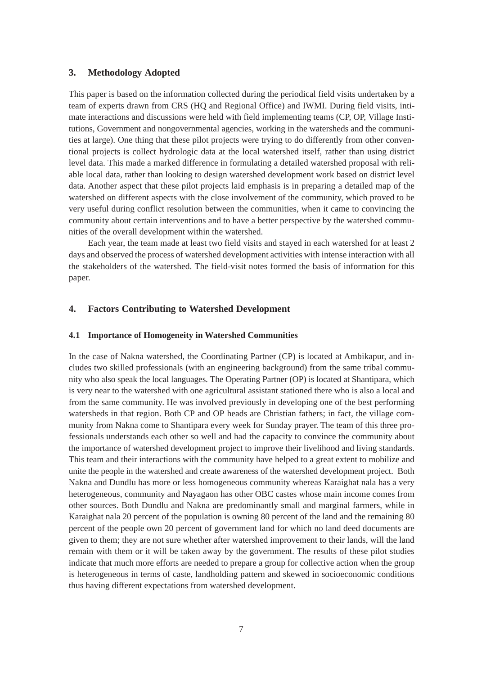#### **3. Methodology Adopted**

This paper is based on the information collected during the periodical field visits undertaken by a team of experts drawn from CRS (HQ and Regional Office) and IWMI. During field visits, intimate interactions and discussions were held with field implementing teams (CP, OP, Village Institutions, Government and nongovernmental agencies, working in the watersheds and the communities at large). One thing that these pilot projects were trying to do differently from other conventional projects is collect hydrologic data at the local watershed itself, rather than using district level data. This made a marked difference in formulating a detailed watershed proposal with reliable local data, rather than looking to design watershed development work based on district level data. Another aspect that these pilot projects laid emphasis is in preparing a detailed map of the watershed on different aspects with the close involvement of the community, which proved to be very useful during conflict resolution between the communities, when it came to convincing the community about certain interventions and to have a better perspective by the watershed communities of the overall development within the watershed.

Each year, the team made at least two field visits and stayed in each watershed for at least 2 days and observed the process of watershed development activities with intense interaction with all the stakeholders of the watershed. The field-visit notes formed the basis of information for this paper.

#### **4. Factors Contributing to Watershed Development**

#### **4.1 Importance of Homogeneity in Watershed Communities**

In the case of Nakna watershed, the Coordinating Partner (CP) is located at Ambikapur, and includes two skilled professionals (with an engineering background) from the same tribal community who also speak the local languages. The Operating Partner (OP) is located at Shantipara, which is very near to the watershed with one agricultural assistant stationed there who is also a local and from the same community. He was involved previously in developing one of the best performing watersheds in that region. Both CP and OP heads are Christian fathers; in fact, the village community from Nakna come to Shantipara every week for Sunday prayer. The team of this three professionals understands each other so well and had the capacity to convince the community about the importance of watershed development project to improve their livelihood and living standards. This team and their interactions with the community have helped to a great extent to mobilize and unite the people in the watershed and create awareness of the watershed development project. Both Nakna and Dundlu has more or less homogeneous community whereas Karaighat nala has a very heterogeneous, community and Nayagaon has other OBC castes whose main income comes from other sources. Both Dundlu and Nakna are predominantly small and marginal farmers, while in Karaighat nala 20 percent of the population is owning 80 percent of the land and the remaining 80 percent of the people own 20 percent of government land for which no land deed documents are given to them; they are not sure whether after watershed improvement to their lands, will the land remain with them or it will be taken away by the government. The results of these pilot studies indicate that much more efforts are needed to prepare a group for collective action when the group is heterogeneous in terms of caste, landholding pattern and skewed in socioeconomic conditions thus having different expectations from watershed development.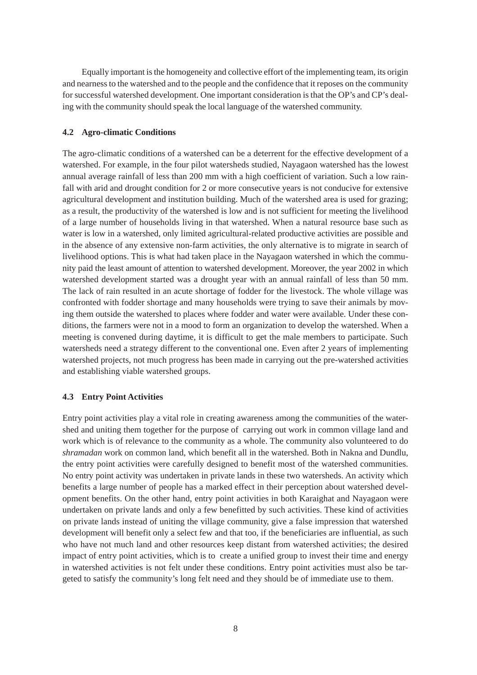Equally important is the homogeneity and collective effort of the implementing team, its origin and nearness to the watershed and to the people and the confidence that it reposes on the community for successful watershed development. One important consideration is that the OP's and CP's dealing with the community should speak the local language of the watershed community.

#### **4.2 Agro-climatic Conditions**

The agro-climatic conditions of a watershed can be a deterrent for the effective development of a watershed. For example, in the four pilot watersheds studied, Nayagaon watershed has the lowest annual average rainfall of less than 200 mm with a high coefficient of variation. Such a low rainfall with arid and drought condition for 2 or more consecutive years is not conducive for extensive agricultural development and institution building. Much of the watershed area is used for grazing; as a result, the productivity of the watershed is low and is not sufficient for meeting the livelihood of a large number of households living in that watershed. When a natural resource base such as water is low in a watershed, only limited agricultural-related productive activities are possible and in the absence of any extensive non-farm activities, the only alternative is to migrate in search of livelihood options. This is what had taken place in the Nayagaon watershed in which the community paid the least amount of attention to watershed development. Moreover, the year 2002 in which watershed development started was a drought year with an annual rainfall of less than 50 mm. The lack of rain resulted in an acute shortage of fodder for the livestock. The whole village was confronted with fodder shortage and many households were trying to save their animals by moving them outside the watershed to places where fodder and water were available. Under these conditions, the farmers were not in a mood to form an organization to develop the watershed. When a meeting is convened during daytime, it is difficult to get the male members to participate. Such watersheds need a strategy different to the conventional one. Even after 2 years of implementing watershed projects, not much progress has been made in carrying out the pre-watershed activities and establishing viable watershed groups.

#### **4.3 Entry Point Activities**

Entry point activities play a vital role in creating awareness among the communities of the watershed and uniting them together for the purpose of carrying out work in common village land and work which is of relevance to the community as a whole. The community also volunteered to do *shramadan* work on common land, which benefit all in the watershed. Both in Nakna and Dundlu, the entry point activities were carefully designed to benefit most of the watershed communities. No entry point activity was undertaken in private lands in these two watersheds. An activity which benefits a large number of people has a marked effect in their perception about watershed development benefits. On the other hand, entry point activities in both Karaighat and Nayagaon were undertaken on private lands and only a few benefitted by such activities. These kind of activities on private lands instead of uniting the village community, give a false impression that watershed development will benefit only a select few and that too, if the beneficiaries are influential, as such who have not much land and other resources keep distant from watershed activities; the desired impact of entry point activities, which is to create a unified group to invest their time and energy in watershed activities is not felt under these conditions. Entry point activities must also be targeted to satisfy the community's long felt need and they should be of immediate use to them.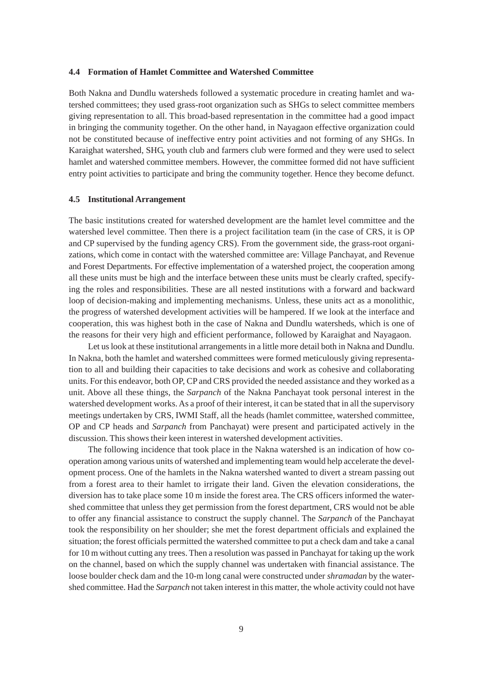#### **4.4 Formation of Hamlet Committee and Watershed Committee**

Both Nakna and Dundlu watersheds followed a systematic procedure in creating hamlet and watershed committees; they used grass-root organization such as SHGs to select committee members giving representation to all. This broad-based representation in the committee had a good impact in bringing the community together. On the other hand, in Nayagaon effective organization could not be constituted because of ineffective entry point activities and not forming of any SHGs. In Karaighat watershed, SHG, youth club and farmers club were formed and they were used to select hamlet and watershed committee members. However, the committee formed did not have sufficient entry point activities to participate and bring the community together. Hence they become defunct.

#### **4.5 Institutional Arrangement**

The basic institutions created for watershed development are the hamlet level committee and the watershed level committee. Then there is a project facilitation team (in the case of CRS, it is OP and CP supervised by the funding agency CRS). From the government side, the grass-root organizations, which come in contact with the watershed committee are: Village Panchayat, and Revenue and Forest Departments. For effective implementation of a watershed project, the cooperation among all these units must be high and the interface between these units must be clearly crafted, specifying the roles and responsibilities. These are all nested institutions with a forward and backward loop of decision-making and implementing mechanisms. Unless, these units act as a monolithic, the progress of watershed development activities will be hampered. If we look at the interface and cooperation, this was highest both in the case of Nakna and Dundlu watersheds, which is one of the reasons for their very high and efficient performance, followed by Karaighat and Nayagaon.

Let us look at these institutional arrangements in a little more detail both in Nakna and Dundlu. In Nakna, both the hamlet and watershed committees were formed meticulously giving representation to all and building their capacities to take decisions and work as cohesive and collaborating units. For this endeavor, both OP, CP and CRS provided the needed assistance and they worked as a unit. Above all these things, the *Sarpanch* of the Nakna Panchayat took personal interest in the watershed development works. As a proof of their interest, it can be stated that in all the supervisory meetings undertaken by CRS, IWMI Staff, all the heads (hamlet committee, watershed committee, OP and CP heads and *Sarpanch* from Panchayat) were present and participated actively in the discussion. This shows their keen interest in watershed development activities.

The following incidence that took place in the Nakna watershed is an indication of how cooperation among various units of watershed and implementing team would help accelerate the development process. One of the hamlets in the Nakna watershed wanted to divert a stream passing out from a forest area to their hamlet to irrigate their land. Given the elevation considerations, the diversion has to take place some 10 m inside the forest area. The CRS officers informed the watershed committee that unless they get permission from the forest department, CRS would not be able to offer any financial assistance to construct the supply channel. The *Sarpanch* of the Panchayat took the responsibility on her shoulder; she met the forest department officials and explained the situation; the forest officials permitted the watershed committee to put a check dam and take a canal for 10 m without cutting any trees. Then a resolution was passed in Panchayat for taking up the work on the channel, based on which the supply channel was undertaken with financial assistance. The loose boulder check dam and the 10-m long canal were constructed under *shramadan* by the watershed committee. Had the *Sarpanch* not taken interest in this matter, the whole activity could not have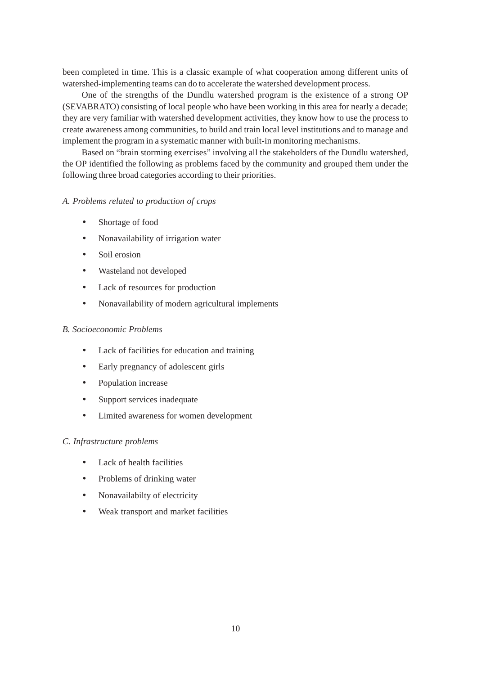been completed in time. This is a classic example of what cooperation among different units of watershed-implementing teams can do to accelerate the watershed development process.

One of the strengths of the Dundlu watershed program is the existence of a strong OP (SEVABRATO) consisting of local people who have been working in this area for nearly a decade; they are very familiar with watershed development activities, they know how to use the process to create awareness among communities, to build and train local level institutions and to manage and implement the program in a systematic manner with built-in monitoring mechanisms.

Based on "brain storming exercises" involving all the stakeholders of the Dundlu watershed, the OP identified the following as problems faced by the community and grouped them under the following three broad categories according to their priorities.

#### *A. Problems related to production of crops*

- Shortage of food
- Nonavailability of irrigation water
- Soil erosion
- Wasteland not developed
- Lack of resources for production
- Nonavailability of modern agricultural implements

#### *B. Socioeconomic Problems*

- Lack of facilities for education and training
- Early pregnancy of adolescent girls
- Population increase
- Support services inadequate
- Limited awareness for women development

#### *C. Infrastructure problems*

- Lack of health facilities
- Problems of drinking water
- Nonavailabilty of electricity
- Weak transport and market facilities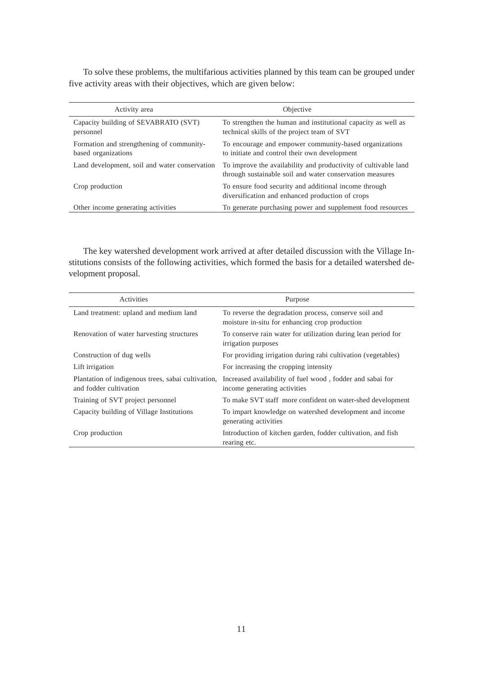To solve these problems, the multifarious activities planned by this team can be grouped under five activity areas with their objectives, which are given below:

| Activity area                                                    | Objective                                                                                                                   |
|------------------------------------------------------------------|-----------------------------------------------------------------------------------------------------------------------------|
| Capacity building of SEVABRATO (SVT)<br>personnel                | To strengthen the human and institutional capacity as well as<br>technical skills of the project team of SVT                |
| Formation and strengthening of community-<br>based organizations | To encourage and empower community-based organizations<br>to initiate and control their own development                     |
| Land development, soil and water conservation                    | To improve the availability and productivity of cultivable land<br>through sustainable soil and water conservation measures |
| Crop production                                                  | To ensure food security and additional income through<br>diversification and enhanced production of crops                   |
| Other income generating activities                               | To generate purchasing power and supplement food resources                                                                  |

The key watershed development work arrived at after detailed discussion with the Village Institutions consists of the following activities, which formed the basis for a detailed watershed development proposal.

| Activities                                                                   | Purpose                                                                                                 |
|------------------------------------------------------------------------------|---------------------------------------------------------------------------------------------------------|
| Land treatment: upland and medium land                                       | To reverse the degradation process, conserve soil and<br>moisture in-situ for enhancing crop production |
| Renovation of water harvesting structures                                    | To conserve rain water for utilization during lean period for<br>irrigation purposes                    |
| Construction of dug wells                                                    | For providing irrigation during rabi cultivation (vegetables)                                           |
| Lift irrigation                                                              | For increasing the cropping intensity                                                                   |
| Plantation of indigenous trees, sabai cultivation,<br>and fodder cultivation | Increased availability of fuel wood, fodder and sabai for<br>income generating activities               |
| Training of SVT project personnel                                            | To make SVT staff more confident on water-shed development                                              |
| Capacity building of Village Institutions                                    | To impart knowledge on watershed development and income<br>generating activities                        |
| Crop production                                                              | Introduction of kitchen garden, fodder cultivation, and fish<br>rearing etc.                            |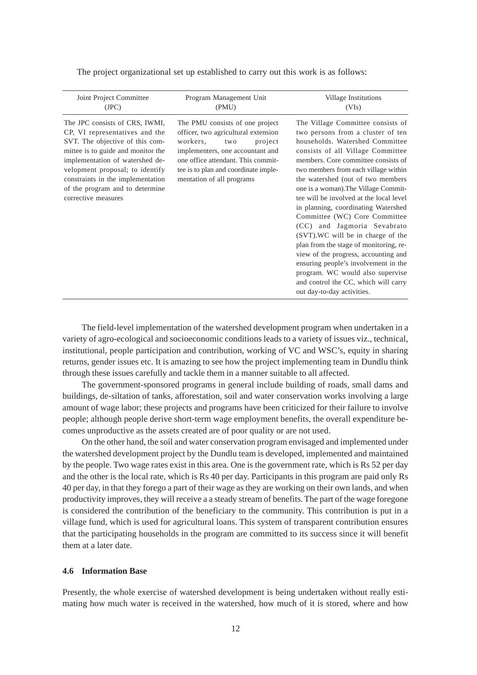| Joint Project Committee                                                                                                                                                                                                                                                                                        | Program Management Unit                                                                                                                                                                                                                             | Village Institutions                                                                                                                                                                                                                                                                                                                                                                                                                                                                                                                                                                                                                                                                                                                   |
|----------------------------------------------------------------------------------------------------------------------------------------------------------------------------------------------------------------------------------------------------------------------------------------------------------------|-----------------------------------------------------------------------------------------------------------------------------------------------------------------------------------------------------------------------------------------------------|----------------------------------------------------------------------------------------------------------------------------------------------------------------------------------------------------------------------------------------------------------------------------------------------------------------------------------------------------------------------------------------------------------------------------------------------------------------------------------------------------------------------------------------------------------------------------------------------------------------------------------------------------------------------------------------------------------------------------------------|
| (JPC)                                                                                                                                                                                                                                                                                                          | (PMU)                                                                                                                                                                                                                                               | (VIs)                                                                                                                                                                                                                                                                                                                                                                                                                                                                                                                                                                                                                                                                                                                                  |
| The JPC consists of CRS, IWMI,<br>CP, VI representatives and the<br>SVT. The objective of this com-<br>mittee is to guide and monitor the<br>implementation of watershed de-<br>velopment proposal; to identify<br>constraints in the implementation<br>of the program and to determine<br>corrective measures | The PMU consists of one project<br>officer, two agricultural extension<br>workers,<br>project<br>two<br>implementers, one accountant and<br>one office attendant. This commit-<br>tee is to plan and coordinate imple-<br>mentation of all programs | The Village Committee consists of<br>two persons from a cluster of ten<br>households. Watershed Committee<br>consists of all Village Committee<br>members. Core committee consists of<br>two members from each village within<br>the watershed (out of two members<br>one is a woman). The Village Commit-<br>tee will be involved at the local level<br>in planning, coordinating Watershed<br>Committee (WC) Core Committee<br>(CC) and Jagmoria Sevabrato<br>(SVT). WC will be in charge of the<br>plan from the stage of monitoring, re-<br>view of the progress, accounting and<br>ensuring people's involvement in the<br>program. WC would also supervise<br>and control the CC, which will carry<br>out day-to-day activities. |

The project organizational set up established to carry out this work is as follows:

The field-level implementation of the watershed development program when undertaken in a variety of agro-ecological and socioeconomic conditions leads to a variety of issues viz., technical, institutional, people participation and contribution, working of VC and WSC's, equity in sharing returns, gender issues etc. It is amazing to see how the project implementing team in Dundlu think through these issues carefully and tackle them in a manner suitable to all affected.

The government-sponsored programs in general include building of roads, small dams and buildings, de-siltation of tanks, afforestation, soil and water conservation works involving a large amount of wage labor; these projects and programs have been criticized for their failure to involve people; although people derive short-term wage employment benefits, the overall expenditure becomes unproductive as the assets created are of poor quality or are not used.

On the other hand, the soil and water conservation program envisaged and implemented under the watershed development project by the Dundlu team is developed, implemented and maintained by the people. Two wage rates exist in this area. One is the government rate, which is Rs 52 per day and the other is the local rate, which is Rs 40 per day. Participants in this program are paid only Rs 40 per day, in that they forego a part of their wage as they are working on their own lands, and when productivity improves, they will receive a a steady stream of benefits. The part of the wage foregone is considered the contribution of the beneficiary to the community. This contribution is put in a village fund, which is used for agricultural loans. This system of transparent contribution ensures that the participating households in the program are committed to its success since it will benefit them at a later date.

#### **4.6 Information Base**

Presently, the whole exercise of watershed development is being undertaken without really estimating how much water is received in the watershed, how much of it is stored, where and how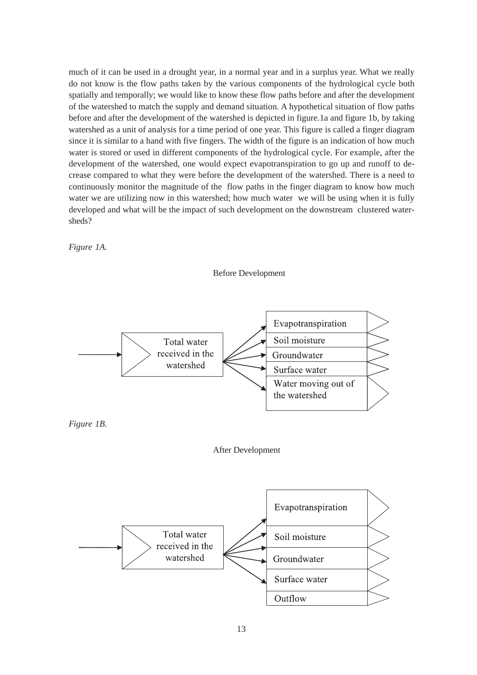much of it can be used in a drought year, in a normal year and in a surplus year. What we really do not know is the flow paths taken by the various components of the hydrological cycle both spatially and temporally; we would like to know these flow paths before and after the development of the watershed to match the supply and demand situation. A hypothetical situation of flow paths before and after the development of the watershed is depicted in figure.1a and figure 1b, by taking watershed as a unit of analysis for a time period of one year. This figure is called a finger diagram since it is similar to a hand with five fingers. The width of the figure is an indication of how much water is stored or used in different components of the hydrological cycle. For example, after the development of the watershed, one would expect evapotranspiration to go up and runoff to decrease compared to what they were before the development of the watershed. There is a need to continuously monitor the magnitude of the flow paths in the finger diagram to know how much water we are utilizing now in this watershed; how much water we will be using when it is fully developed and what will be the impact of such development on the downstream clustered watersheds?

*Figure 1A.*









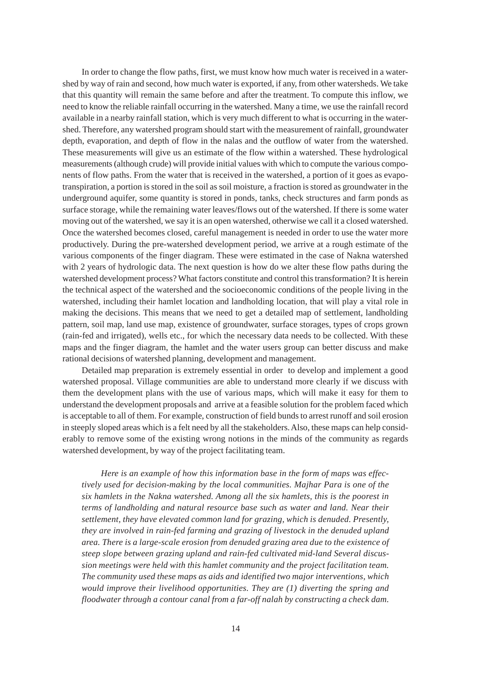In order to change the flow paths, first, we must know how much water is received in a watershed by way of rain and second, how much water is exported, if any, from other watersheds. We take that this quantity will remain the same before and after the treatment. To compute this inflow, we need to know the reliable rainfall occurring in the watershed. Many a time, we use the rainfall record available in a nearby rainfall station, which is very much different to what is occurring in the watershed. Therefore, any watershed program should start with the measurement of rainfall, groundwater depth, evaporation, and depth of flow in the nalas and the outflow of water from the watershed. These measurements will give us an estimate of the flow within a watershed. These hydrological measurements (although crude) will provide initial values with which to compute the various components of flow paths. From the water that is received in the watershed, a portion of it goes as evapotranspiration, a portion is stored in the soil as soil moisture, a fraction is stored as groundwater in the underground aquifer, some quantity is stored in ponds, tanks, check structures and farm ponds as surface storage, while the remaining water leaves/flows out of the watershed. If there is some water moving out of the watershed, we say it is an open watershed, otherwise we call it a closed watershed. Once the watershed becomes closed, careful management is needed in order to use the water more productively. During the pre-watershed development period, we arrive at a rough estimate of the various components of the finger diagram. These were estimated in the case of Nakna watershed with 2 years of hydrologic data. The next question is how do we alter these flow paths during the watershed development process? What factors constitute and control this transformation? It is herein the technical aspect of the watershed and the socioeconomic conditions of the people living in the watershed, including their hamlet location and landholding location, that will play a vital role in making the decisions. This means that we need to get a detailed map of settlement, landholding pattern, soil map, land use map, existence of groundwater, surface storages, types of crops grown (rain-fed and irrigated), wells etc., for which the necessary data needs to be collected. With these maps and the finger diagram, the hamlet and the water users group can better discuss and make rational decisions of watershed planning, development and management.

Detailed map preparation is extremely essential in order to develop and implement a good watershed proposal. Village communities are able to understand more clearly if we discuss with them the development plans with the use of various maps, which will make it easy for them to understand the development proposals and arrive at a feasible solution for the problem faced which is acceptable to all of them. For example, construction of field bunds to arrest runoff and soil erosion in steeply sloped areas which is a felt need by all the stakeholders. Also, these maps can help considerably to remove some of the existing wrong notions in the minds of the community as regards watershed development, by way of the project facilitating team.

*Here is an example of how this information base in the form of maps was effectively used for decision-making by the local communities. Majhar Para is one of the six hamlets in the Nakna watershed. Among all the six hamlets, this is the poorest in terms of landholding and natural resource base such as water and land. Near their settlement, they have elevated common land for grazing, which is denuded. Presently, they are involved in rain-fed farming and grazing of livestock in the denuded upland area. There is a large-scale erosion from denuded grazing area due to the existence of steep slope between grazing upland and rain-fed cultivated mid-land Several discussion meetings were held with this hamlet community and the project facilitation team. The community used these maps as aids and identified two major interventions, which would improve their livelihood opportunities. They are (1) diverting the spring and floodwater through a contour canal from a far-off nalah by constructing a check dam.*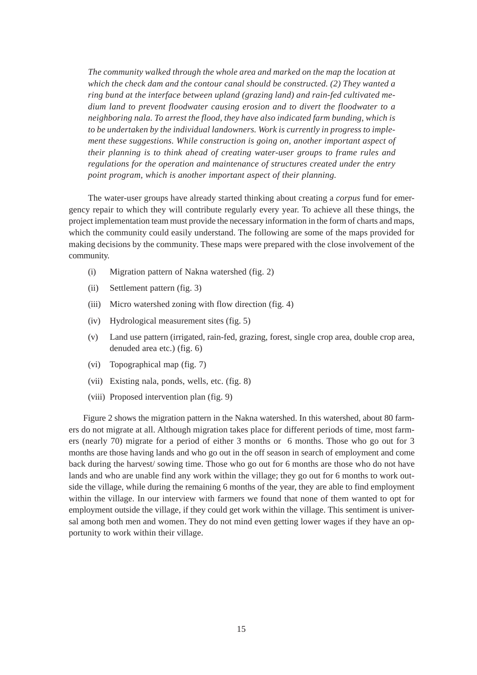*The community walked through the whole area and marked on the map the location at which the check dam and the contour canal should be constructed. (2) They wanted a ring bund at the interface between upland (grazing land) and rain-fed cultivated medium land to prevent floodwater causing erosion and to divert the floodwater to a neighboring nala. To arrest the flood, they have also indicated farm bunding, which is to be undertaken by the individual landowners. Work is currently in progress to implement these suggestions. While construction is going on, another important aspect of their planning is to think ahead of creating water-user groups to frame rules and regulations for the operation and maintenance of structures created under the entry point program, which is another important aspect of their planning.*

The water-user groups have already started thinking about creating a *corpus* fund for emergency repair to which they will contribute regularly every year. To achieve all these things, the project implementation team must provide the necessary information in the form of charts and maps, which the community could easily understand. The following are some of the maps provided for making decisions by the community. These maps were prepared with the close involvement of the community.

- (i) Migration pattern of Nakna watershed (fig. 2)
- (ii) Settlement pattern (fig. 3)
- (iii) Micro watershed zoning with flow direction (fig. 4)
- (iv) Hydrological measurement sites (fig. 5)
- (v) Land use pattern (irrigated, rain-fed, grazing, forest, single crop area, double crop area, denuded area etc.) (fig. 6)
- (vi) Topographical map (fig. 7)
- (vii) Existing nala, ponds, wells, etc. (fig. 8)
- (viii) Proposed intervention plan (fig. 9)

Figure 2 shows the migration pattern in the Nakna watershed. In this watershed, about 80 farmers do not migrate at all. Although migration takes place for different periods of time, most farmers (nearly 70) migrate for a period of either 3 months or 6 months. Those who go out for 3 months are those having lands and who go out in the off season in search of employment and come back during the harvest/ sowing time. Those who go out for 6 months are those who do not have lands and who are unable find any work within the village; they go out for 6 months to work outside the village, while during the remaining 6 months of the year, they are able to find employment within the village. In our interview with farmers we found that none of them wanted to opt for employment outside the village, if they could get work within the village. This sentiment is universal among both men and women. They do not mind even getting lower wages if they have an opportunity to work within their village.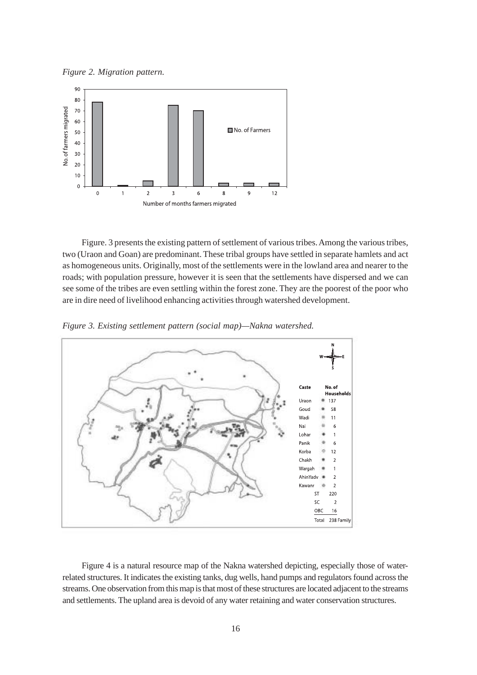*Figure 2. Migration pattern.*



Figure. 3 presents the existing pattern of settlement of various tribes. Among the various tribes, two (Uraon and Goan) are predominant. These tribal groups have settled in separate hamlets and act as homogeneous units. Originally, most of the settlements were in the lowland area and nearer to the roads; with population pressure, however it is seen that the settlements have dispersed and we can see some of the tribes are even settling within the forest zone. They are the poorest of the poor who are in dire need of livelihood enhancing activities through watershed development.



*Figure 3. Existing settlement pattern (social map)—Nakna watershed.*

Figure 4 is a natural resource map of the Nakna watershed depicting, especially those of waterrelated structures. It indicates the existing tanks, dug wells, hand pumps and regulators found across the streams. One observation from this map is that most of these structures are located adjacent to the streams and settlements. The upland area is devoid of any water retaining and water conservation structures.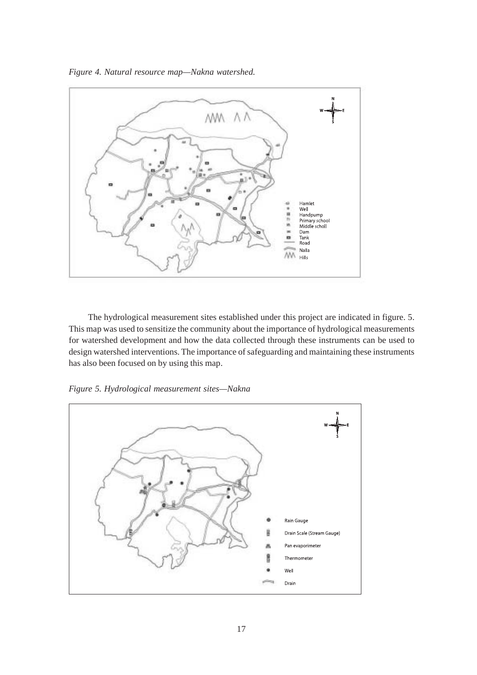*Figure 4. Natural resource map—Nakna watershed.*



The hydrological measurement sites established under this project are indicated in figure. 5. This map was used to sensitize the community about the importance of hydrological measurements for watershed development and how the data collected through these instruments can be used to design watershed interventions. The importance of safeguarding and maintaining these instruments has also been focused on by using this map.



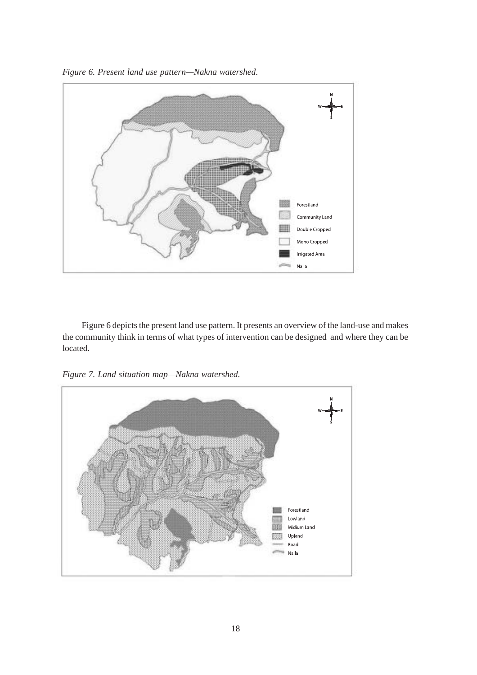*Figure 6. Present land use pattern—Nakna watershed.*



Figure 6 depicts the present land use pattern. It presents an overview of the land-use and makes the community think in terms of what types of intervention can be designed and where they can be located.

*Figure 7. Land situation map—Nakna watershed.*

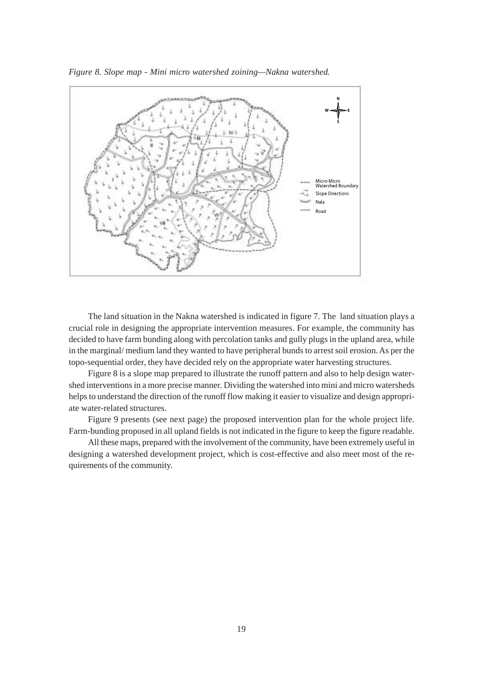

*Figure 8. Slope map - Mini micro watershed zoining—Nakna watershed.*

The land situation in the Nakna watershed is indicated in figure 7. The land situation plays a crucial role in designing the appropriate intervention measures. For example, the community has decided to have farm bunding along with percolation tanks and gully plugs in the upland area, while in the marginal/ medium land they wanted to have peripheral bunds to arrest soil erosion. As per the topo-sequential order, they have decided rely on the appropriate water harvesting structures.

Figure 8 is a slope map prepared to illustrate the runoff pattern and also to help design watershed interventions in a more precise manner. Dividing the watershed into mini and micro watersheds helps to understand the direction of the runoff flow making it easier to visualize and design appropriate water-related structures.

Figure 9 presents (see next page) the proposed intervention plan for the whole project life. Farm-bunding proposed in all upland fields is not indicated in the figure to keep the figure readable.

All these maps, prepared with the involvement of the community, have been extremely useful in designing a watershed development project, which is cost-effective and also meet most of the requirements of the community.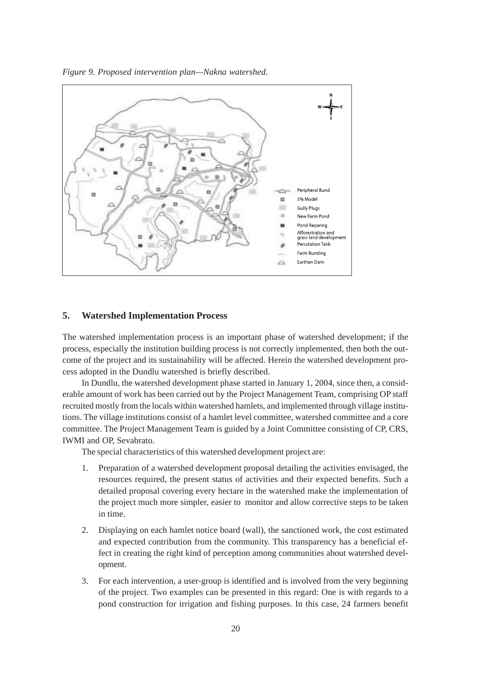

*Figure 9. Proposed intervention plan—Nakna watershed.*

#### **5. Watershed Implementation Process**

The watershed implementation process is an important phase of watershed development; if the process, especially the institution building process is not correctly implemented, then both the outcome of the project and its sustainability will be affected. Herein the watershed development process adopted in the Dundlu watershed is briefly described.

In Dundlu, the watershed development phase started in January 1, 2004, since then, a considerable amount of work has been carried out by the Project Management Team, comprising OP staff recruited mostly from the locals within watershed hamlets, and implemented through village institutions. The village institutions consist of a hamlet level committee, watershed committee and a core committee. The Project Management Team is guided by a Joint Committee consisting of CP, CRS, IWMI and OP, Sevabrato.

The special characteristics of this watershed development project are:

- 1. Preparation of a watershed development proposal detailing the activities envisaged, the resources required, the present status of activities and their expected benefits. Such a detailed proposal covering every hectare in the watershed make the implementation of the project much more simpler, easier to monitor and allow corrective steps to be taken in time.
- 2. Displaying on each hamlet notice board (wall), the sanctioned work, the cost estimated and expected contribution from the community. This transparency has a beneficial effect in creating the right kind of perception among communities about watershed development.
- 3. For each intervention, a user-group is identified and is involved from the very beginning of the project. Two examples can be presented in this regard: One is with regards to a pond construction for irrigation and fishing purposes. In this case, 24 farmers benefit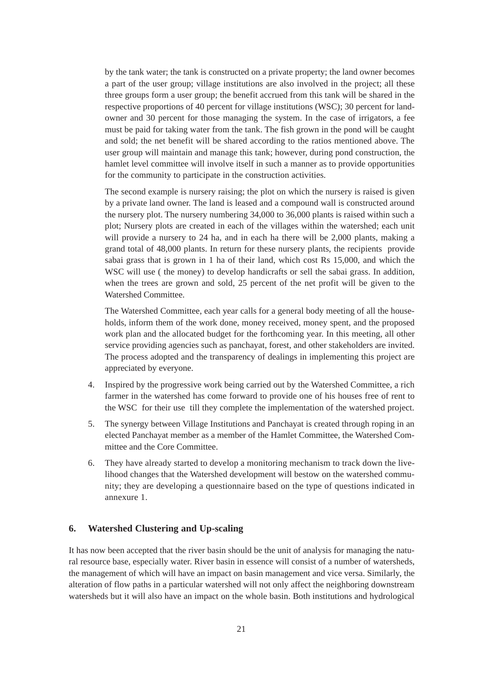by the tank water; the tank is constructed on a private property; the land owner becomes a part of the user group; village institutions are also involved in the project; all these three groups form a user group; the benefit accrued from this tank will be shared in the respective proportions of 40 percent for village institutions (WSC); 30 percent for landowner and 30 percent for those managing the system. In the case of irrigators, a fee must be paid for taking water from the tank. The fish grown in the pond will be caught and sold; the net benefit will be shared according to the ratios mentioned above. The user group will maintain and manage this tank; however, during pond construction, the hamlet level committee will involve itself in such a manner as to provide opportunities for the community to participate in the construction activities.

The second example is nursery raising; the plot on which the nursery is raised is given by a private land owner. The land is leased and a compound wall is constructed around the nursery plot. The nursery numbering 34,000 to 36,000 plants is raised within such a plot; Nursery plots are created in each of the villages within the watershed; each unit will provide a nursery to 24 ha, and in each ha there will be 2,000 plants, making a grand total of 48,000 plants. In return for these nursery plants, the recipients provide sabai grass that is grown in 1 ha of their land, which cost Rs 15,000, and which the WSC will use ( the money) to develop handicrafts or sell the sabai grass. In addition, when the trees are grown and sold, 25 percent of the net profit will be given to the Watershed Committee.

The Watershed Committee, each year calls for a general body meeting of all the households, inform them of the work done, money received, money spent, and the proposed work plan and the allocated budget for the forthcoming year. In this meeting, all other service providing agencies such as panchayat, forest, and other stakeholders are invited. The process adopted and the transparency of dealings in implementing this project are appreciated by everyone.

- 4. Inspired by the progressive work being carried out by the Watershed Committee, a rich farmer in the watershed has come forward to provide one of his houses free of rent to the WSC for their use till they complete the implementation of the watershed project.
- 5. The synergy between Village Institutions and Panchayat is created through roping in an elected Panchayat member as a member of the Hamlet Committee, the Watershed Committee and the Core Committee.
- 6. They have already started to develop a monitoring mechanism to track down the livelihood changes that the Watershed development will bestow on the watershed community; they are developing a questionnaire based on the type of questions indicated in annexure 1.

#### **6. Watershed Clustering and Up-scaling**

It has now been accepted that the river basin should be the unit of analysis for managing the natural resource base, especially water. River basin in essence will consist of a number of watersheds, the management of which will have an impact on basin management and vice versa. Similarly, the alteration of flow paths in a particular watershed will not only affect the neighboring downstream watersheds but it will also have an impact on the whole basin. Both institutions and hydrological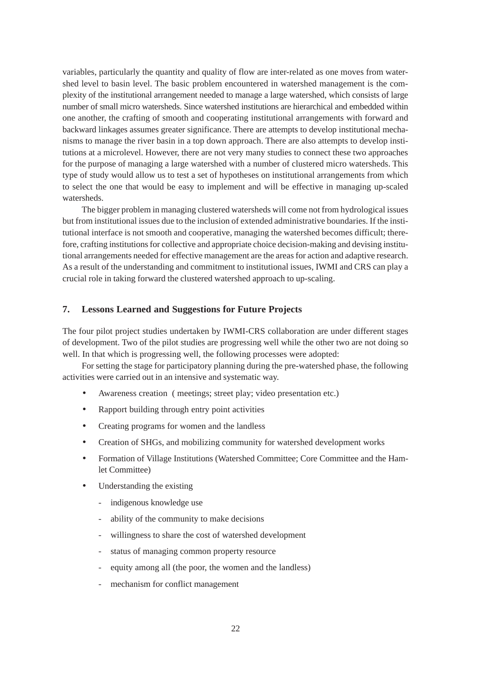variables, particularly the quantity and quality of flow are inter-related as one moves from watershed level to basin level. The basic problem encountered in watershed management is the complexity of the institutional arrangement needed to manage a large watershed, which consists of large number of small micro watersheds. Since watershed institutions are hierarchical and embedded within one another, the crafting of smooth and cooperating institutional arrangements with forward and backward linkages assumes greater significance. There are attempts to develop institutional mechanisms to manage the river basin in a top down approach. There are also attempts to develop institutions at a microlevel. However, there are not very many studies to connect these two approaches for the purpose of managing a large watershed with a number of clustered micro watersheds. This type of study would allow us to test a set of hypotheses on institutional arrangements from which to select the one that would be easy to implement and will be effective in managing up-scaled watersheds.

The bigger problem in managing clustered watersheds will come not from hydrological issues but from institutional issues due to the inclusion of extended administrative boundaries. If the institutional interface is not smooth and cooperative, managing the watershed becomes difficult; therefore, crafting institutions for collective and appropriate choice decision-making and devising institutional arrangements needed for effective management are the areas for action and adaptive research. As a result of the understanding and commitment to institutional issues, IWMI and CRS can play a crucial role in taking forward the clustered watershed approach to up-scaling.

#### **7. Lessons Learned and Suggestions for Future Projects**

The four pilot project studies undertaken by IWMI-CRS collaboration are under different stages of development. Two of the pilot studies are progressing well while the other two are not doing so well. In that which is progressing well, the following processes were adopted:

For setting the stage for participatory planning during the pre-watershed phase, the following activities were carried out in an intensive and systematic way.

- Awareness creation ( meetings; street play; video presentation etc.)
- Rapport building through entry point activities
- Creating programs for women and the landless
- Creation of SHGs, and mobilizing community for watershed development works
- Formation of Village Institutions (Watershed Committee; Core Committee and the Hamlet Committee)
- Understanding the existing
	- indigenous knowledge use
	- ability of the community to make decisions
	- willingness to share the cost of watershed development
	- status of managing common property resource
	- equity among all (the poor, the women and the landless)
	- mechanism for conflict management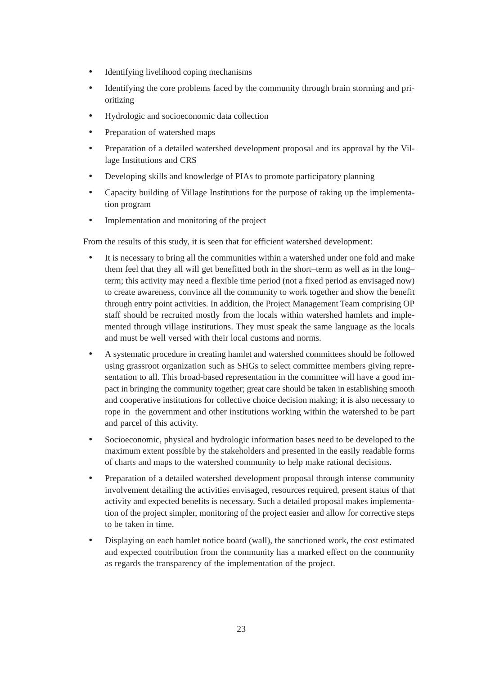- Identifying livelihood coping mechanisms
- Identifying the core problems faced by the community through brain storming and prioritizing
- Hydrologic and socioeconomic data collection
- Preparation of watershed maps
- Preparation of a detailed watershed development proposal and its approval by the Village Institutions and CRS
- Developing skills and knowledge of PIAs to promote participatory planning
- Capacity building of Village Institutions for the purpose of taking up the implementation program
- Implementation and monitoring of the project

From the results of this study, it is seen that for efficient watershed development:

- It is necessary to bring all the communities within a watershed under one fold and make them feel that they all will get benefitted both in the short–term as well as in the long– term; this activity may need a flexible time period (not a fixed period as envisaged now) to create awareness, convince all the community to work together and show the benefit through entry point activities. In addition, the Project Management Team comprising OP staff should be recruited mostly from the locals within watershed hamlets and implemented through village institutions. They must speak the same language as the locals and must be well versed with their local customs and norms.
- A systematic procedure in creating hamlet and watershed committees should be followed using grassroot organization such as SHGs to select committee members giving representation to all. This broad-based representation in the committee will have a good impact in bringing the community together; great care should be taken in establishing smooth and cooperative institutions for collective choice decision making; it is also necessary to rope in the government and other institutions working within the watershed to be part and parcel of this activity.
- Socioeconomic, physical and hydrologic information bases need to be developed to the maximum extent possible by the stakeholders and presented in the easily readable forms of charts and maps to the watershed community to help make rational decisions.
- Preparation of a detailed watershed development proposal through intense community involvement detailing the activities envisaged, resources required, present status of that activity and expected benefits is necessary. Such a detailed proposal makes implementation of the project simpler, monitoring of the project easier and allow for corrective steps to be taken in time.
- Displaying on each hamlet notice board (wall), the sanctioned work, the cost estimated and expected contribution from the community has a marked effect on the community as regards the transparency of the implementation of the project.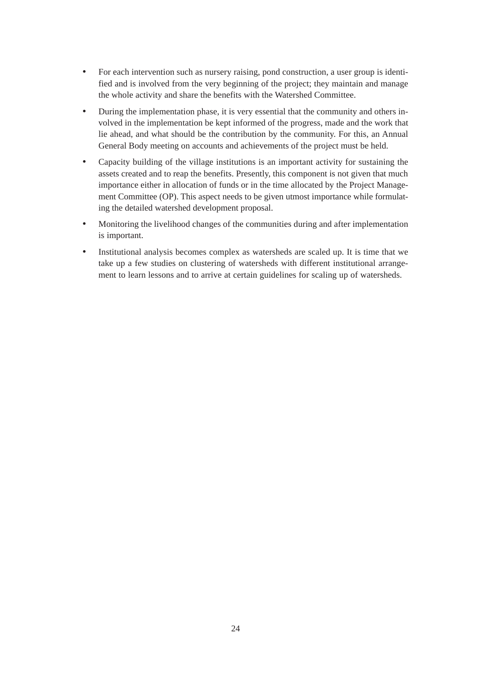- For each intervention such as nursery raising, pond construction, a user group is identified and is involved from the very beginning of the project; they maintain and manage the whole activity and share the benefits with the Watershed Committee.
- During the implementation phase, it is very essential that the community and others involved in the implementation be kept informed of the progress, made and the work that lie ahead, and what should be the contribution by the community. For this, an Annual General Body meeting on accounts and achievements of the project must be held.
- Capacity building of the village institutions is an important activity for sustaining the assets created and to reap the benefits. Presently, this component is not given that much importance either in allocation of funds or in the time allocated by the Project Management Committee (OP). This aspect needs to be given utmost importance while formulating the detailed watershed development proposal.
- Monitoring the livelihood changes of the communities during and after implementation is important.
- Institutional analysis becomes complex as watersheds are scaled up. It is time that we take up a few studies on clustering of watersheds with different institutional arrangement to learn lessons and to arrive at certain guidelines for scaling up of watersheds.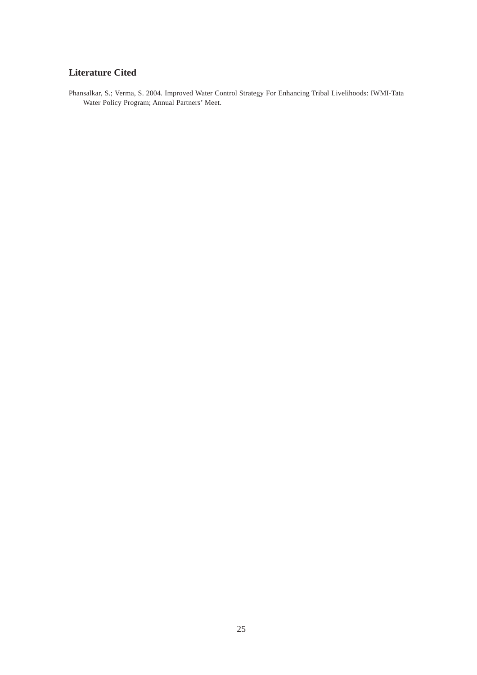#### **Literature Cited**

Phansalkar, S.; Verma, S. 2004. Improved Water Control Strategy For Enhancing Tribal Livelihoods: IWMI-Tata Water Policy Program; Annual Partners' Meet.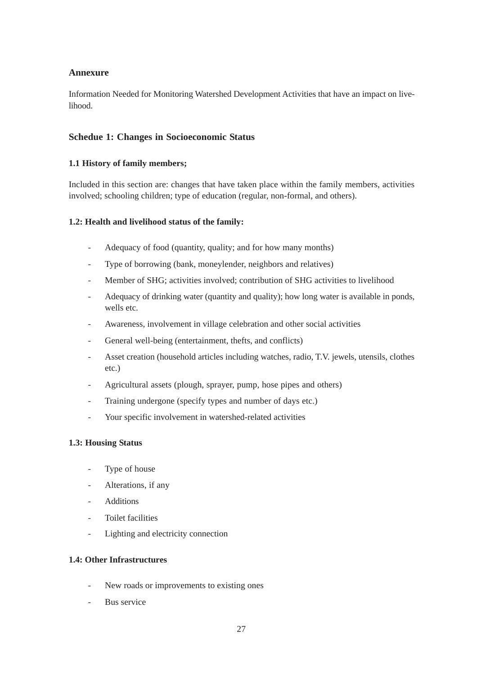#### **Annexure**

Information Needed for Monitoring Watershed Development Activities that have an impact on livelihood.

#### **Schedue 1: Changes in Socioeconomic Status**

#### **1.1 History of family members;**

Included in this section are: changes that have taken place within the family members, activities involved; schooling children; type of education (regular, non-formal, and others).

#### **1.2: Health and livelihood status of the family:**

- Adequacy of food (quantity, quality; and for how many months)
- Type of borrowing (bank, moneylender, neighbors and relatives)
- Member of SHG; activities involved; contribution of SHG activities to livelihood
- Adequacy of drinking water (quantity and quality); how long water is available in ponds, wells etc.
- Awareness, involvement in village celebration and other social activities
- General well-being (entertainment, thefts, and conflicts)
- Asset creation (household articles including watches, radio, T.V. jewels, utensils, clothes etc.)
- Agricultural assets (plough, sprayer, pump, hose pipes and others)
- Training undergone (specify types and number of days etc.)
- Your specific involvement in watershed-related activities

#### **1.3: Housing Status**

- Type of house
- Alterations, if any
- Additions
- Toilet facilities
- Lighting and electricity connection

#### **1.4: Other Infrastructures**

- New roads or improvements to existing ones
- Bus service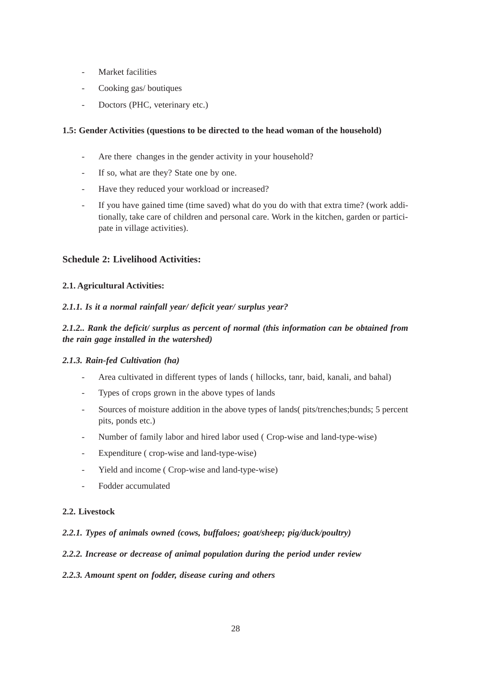- Market facilities
- Cooking gas/ boutiques
- Doctors (PHC, veterinary etc.)

#### **1.5: Gender Activities (questions to be directed to the head woman of the household)**

- Are there changes in the gender activity in your household?
- If so, what are they? State one by one.
- Have they reduced your workload or increased?
- If you have gained time (time saved) what do you do with that extra time? (work additionally, take care of children and personal care. Work in the kitchen, garden or participate in village activities).

#### **Schedule 2: Livelihood Activities:**

#### **2.1. Agricultural Activities:**

#### *2.1.1. Is it a normal rainfall year/ deficit year/ surplus year?*

#### *2.1.2.. Rank the deficit/ surplus as percent of normal (this information can be obtained from the rain gage installed in the watershed)*

#### *2.1.3. Rain-fed Cultivation (ha)*

- Area cultivated in different types of lands ( hillocks, tanr, baid, kanali, and bahal)
- Types of crops grown in the above types of lands
- Sources of moisture addition in the above types of lands( pits/trenches;bunds; 5 percent pits, ponds etc.)
- Number of family labor and hired labor used ( Crop-wise and land-type-wise)
- Expenditure ( crop-wise and land-type-wise)
- Yield and income ( Crop-wise and land-type-wise)
- Fodder accumulated

#### **2.2. Livestock**

#### *2.2.1. Types of animals owned (cows, buffaloes; goat/sheep; pig/duck/poultry)*

#### *2.2.2. Increase or decrease of animal population during the period under review*

#### *2.2.3. Amount spent on fodder, disease curing and others*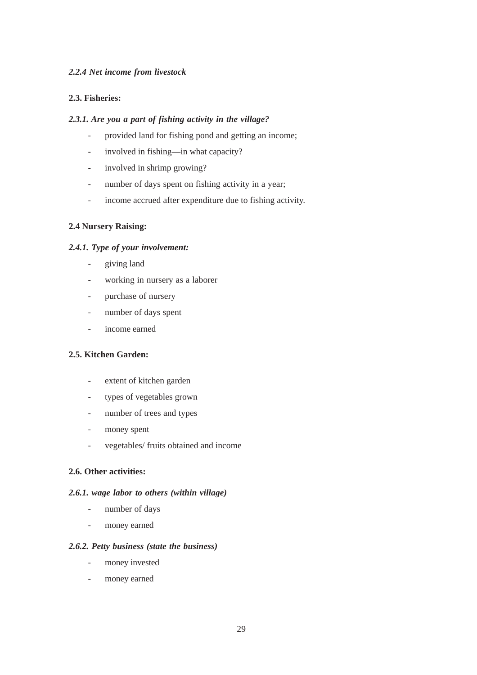#### *2.2.4 Net income from livestock*

#### **2.3. Fisheries:**

#### *2.3.1. Are you a part of fishing activity in the village?*

- provided land for fishing pond and getting an income;
- involved in fishing—in what capacity?
- involved in shrimp growing?
- number of days spent on fishing activity in a year;
- income accrued after expenditure due to fishing activity.

#### **2.4 Nursery Raising:**

#### *2.4.1. Type of your involvement:*

- giving land
- working in nursery as a laborer
- purchase of nursery
- number of days spent
- income earned

#### **2.5. Kitchen Garden:**

- extent of kitchen garden
- types of vegetables grown
- number of trees and types
- money spent
- vegetables/ fruits obtained and income

#### **2.6. Other activities:**

#### *2.6.1. wage labor to others (within village)*

- number of days
- money earned

#### *2.6.2. Petty business (state the business)*

- money invested
- money earned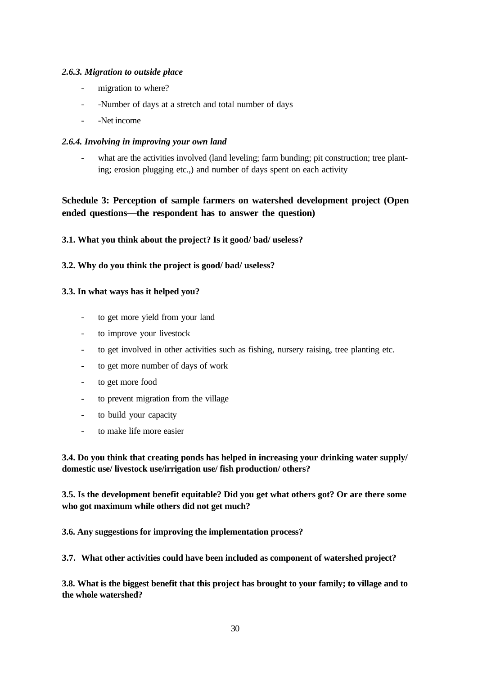#### *2.6.3. Migration to outside place*

- migration to where?
- -Number of days at a stretch and total number of days
- -Net income

#### *2.6.4. Involving in improving your own land*

what are the activities involved (land leveling; farm bunding; pit construction; tree planting; erosion plugging etc.,) and number of days spent on each activity

#### **Schedule 3: Perception of sample farmers on watershed development project (Open ended questions—the respondent has to answer the question)**

#### **3.1. What you think about the project? Is it good/ bad/ useless?**

#### **3.2. Why do you think the project is good/ bad/ useless?**

#### **3.3. In what ways has it helped you?**

- to get more yield from your land
- to improve your livestock
- to get involved in other activities such as fishing, nursery raising, tree planting etc.
- to get more number of days of work
- to get more food
- to prevent migration from the village
- to build your capacity
- to make life more easier

#### **3.4. Do you think that creating ponds has helped in increasing your drinking water supply/ domestic use/ livestock use/irrigation use/ fish production/ others?**

**3.5. Is the development benefit equitable? Did you get what others got? Or are there some who got maximum while others did not get much?**

**3.6. Any suggestions for improving the implementation process?**

**3.7. What other activities could have been included as component of watershed project?**

**3.8. What is the biggest benefit that this project has brought to your family; to village and to the whole watershed?**